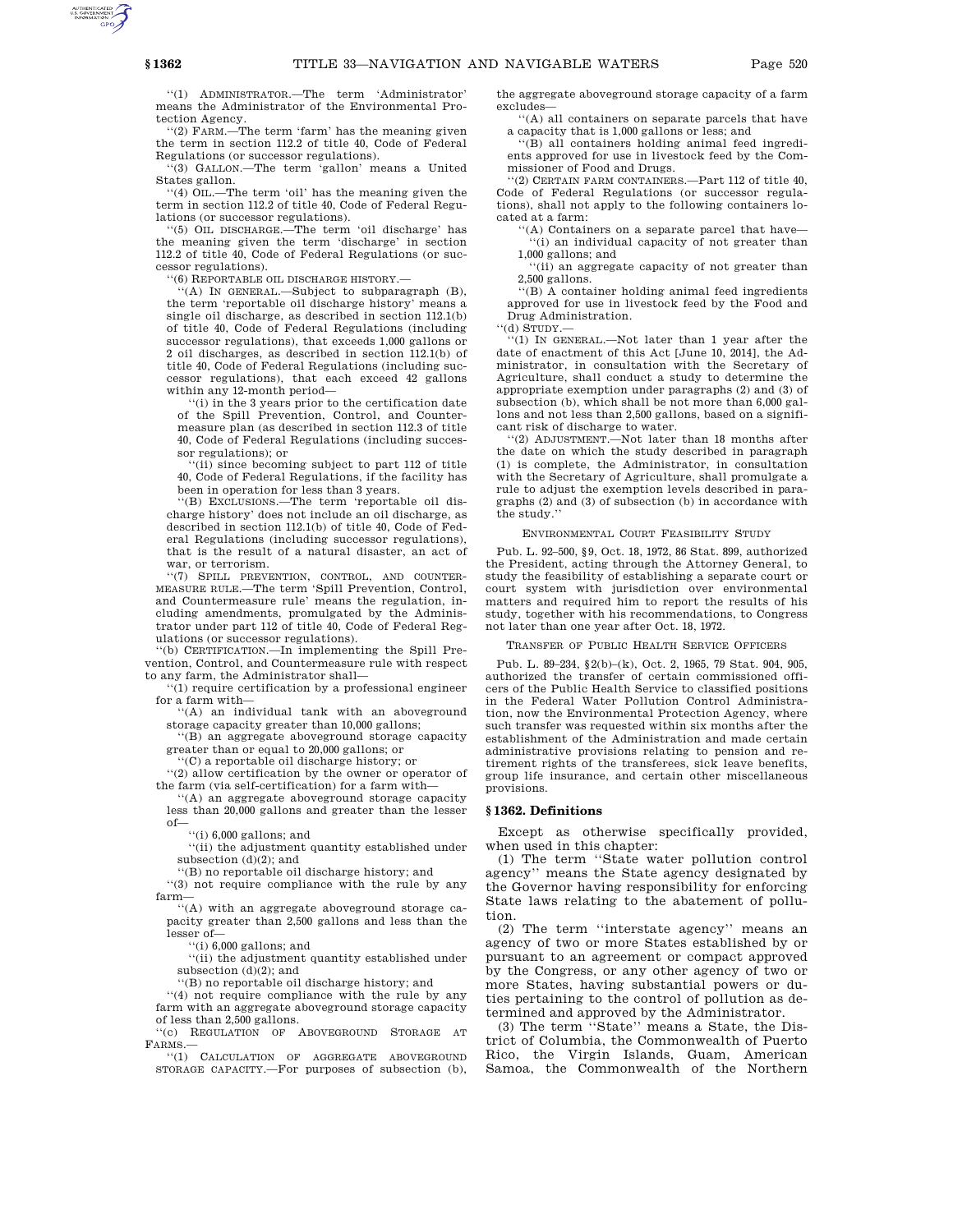''(1) ADMINISTRATOR.—The term 'Administrator' means the Administrator of the Environmental Protection Agency.

''(2) FARM.—The term 'farm' has the meaning given the term in section 112.2 of title 40, Code of Federal Regulations (or successor regulations).

''(3) GALLON.—The term 'gallon' means a United States gallon.

''(4) OIL.—The term 'oil' has the meaning given the term in section 112.2 of title 40, Code of Federal Regulations (or successor regulations).

'(5) OIL DISCHARGE.—The term 'oil discharge' has the meaning given the term 'discharge' in section 112.2 of title 40, Code of Federal Regulations (or successor regulations).

''(6) REPORTABLE OIL DISCHARGE HISTORY.—

'(A) IN GENERAL.-Subject to subparagraph (B), the term 'reportable oil discharge history' means a single oil discharge, as described in section 112.1(b) of title 40, Code of Federal Regulations (including successor regulations), that exceeds 1,000 gallons or 2 oil discharges, as described in section 112.1(b) of title 40, Code of Federal Regulations (including successor regulations), that each exceed 42 gallons within any 12-month period—

(i) in the 3 years prior to the certification date of the Spill Prevention, Control, and Countermeasure plan (as described in section 112.3 of title 40, Code of Federal Regulations (including successor regulations); or

''(ii) since becoming subject to part 112 of title 40, Code of Federal Regulations, if the facility has been in operation for less than 3 years.

''(B) EXCLUSIONS.—The term 'reportable oil discharge history' does not include an oil discharge, as described in section 112.1(b) of title 40, Code of Federal Regulations (including successor regulations), that is the result of a natural disaster, an act of war, or terrorism.

''(7) SPILL PREVENTION, CONTROL, AND COUNTER-MEASURE RULE.—The term 'Spill Prevention, Control, and Countermeasure rule' means the regulation, including amendments, promulgated by the Administrator under part 112 of title 40, Code of Federal Regulations (or successor regulations).

'(b) CERTIFICATION.—In implementing the Spill Prevention, Control, and Countermeasure rule with respect to any farm, the Administrator shall—

''(1) require certification by a professional engineer for a farm with-

''(A) an individual tank with an aboveground storage capacity greater than 10,000 gallons;

''(B) an aggregate aboveground storage capacity

greater than or equal to 20,000 gallons; or ''(C) a reportable oil discharge history; or

''(2) allow certification by the owner or operator of the farm (via self-certification) for a farm with—

''(A) an aggregate aboveground storage capacity less than 20,000 gallons and greater than the lesser of—

''(i) 6,000 gallons; and

 $\lq\lq$  (ii) the adjustment quantity established under subsection (d)(2); and

''(B) no reportable oil discharge history; and ''(3) not require compliance with the rule by any farm—

''(A) with an aggregate aboveground storage capacity greater than 2,500 gallons and less than the lesser of—

 $``(i)$  6,000 gallons; and

 $\lq\lq$  (ii) the adjustment quantity established under subsection (d)(2); and

''(B) no reportable oil discharge history; and

''(4) not require compliance with the rule by any farm with an aggregate aboveground storage capacity of less than 2,500 gallons.

''(c) REGULATION OF ABOVEGROUND STORAGE AT FARMS.—

''(1) CALCULATION OF AGGREGATE ABOVEGROUND STORAGE CAPACITY.—For purposes of subsection (b),

the aggregate aboveground storage capacity of a farm excludes—

''(A) all containers on separate parcels that have a capacity that is 1,000 gallons or less; and

''(B) all containers holding animal feed ingredients approved for use in livestock feed by the Commissioner of Food and Drugs.

''(2) CERTAIN FARM CONTAINERS.—Part 112 of title 40, Code of Federal Regulations (or successor regulations), shall not apply to the following containers located at a farm:

''(A) Containers on a separate parcel that have— ''(i) an individual capacity of not greater than 1,000 gallons; and

''(ii) an aggregate capacity of not greater than 2,500 gallons.

''(B) A container holding animal feed ingredients approved for use in livestock feed by the Food and Drug Administration.

''(d) STUDY.—

''(1) IN GENERAL.—Not later than 1 year after the date of enactment of this Act [June 10, 2014], the Administrator, in consultation with the Secretary of Agriculture, shall conduct a study to determine the appropriate exemption under paragraphs (2) and (3) of subsection (b), which shall be not more than 6,000 gallons and not less than 2,500 gallons, based on a significant risk of discharge to water.

''(2) ADJUSTMENT.—Not later than 18 months after the date on which the study described in paragraph (1) is complete, the Administrator, in consultation with the Secretary of Agriculture, shall promulgate a rule to adjust the exemption levels described in paragraphs (2) and (3) of subsection (b) in accordance with the study.''

#### ENVIRONMENTAL COURT FEASIBILITY STUDY

Pub. L. 92–500, §9, Oct. 18, 1972, 86 Stat. 899, authorized the President, acting through the Attorney General, to study the feasibility of establishing a separate court or court system with jurisdiction over environmental matters and required him to report the results of his study, together with his recommendations, to Congress not later than one year after Oct. 18, 1972.

TRANSFER OF PUBLIC HEALTH SERVICE OFFICERS

Pub. L. 89–234, §2(b)–(k), Oct. 2, 1965, 79 Stat. 904, 905, authorized the transfer of certain commissioned officers of the Public Health Service to classified positions in the Federal Water Pollution Control Administration, now the Environmental Protection Agency, where such transfer was requested within six months after the establishment of the Administration and made certain administrative provisions relating to pension and retirement rights of the transferees, sick leave benefits, group life insurance, and certain other miscellaneous provisions.

# **§ 1362. Definitions**

Except as otherwise specifically provided, when used in this chapter:

(1) The term ''State water pollution control agency'' means the State agency designated by the Governor having responsibility for enforcing State laws relating to the abatement of pollution.

(2) The term ''interstate agency'' means an agency of two or more States established by or pursuant to an agreement or compact approved by the Congress, or any other agency of two or more States, having substantial powers or duties pertaining to the control of pollution as determined and approved by the Administrator.

(3) The term ''State'' means a State, the District of Columbia, the Commonwealth of Puerto Rico, the Virgin Islands, Guam, American Samoa, the Commonwealth of the Northern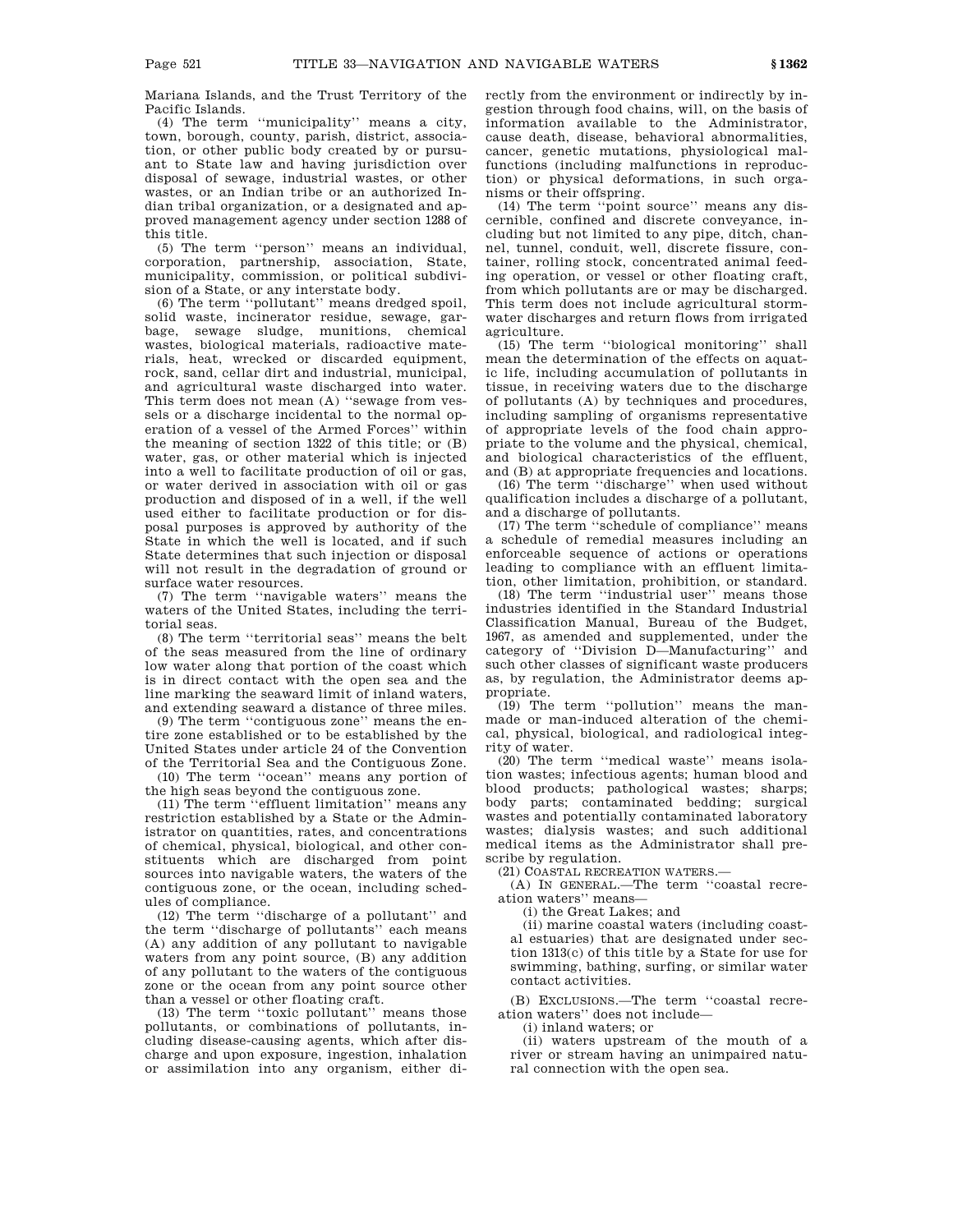Mariana Islands, and the Trust Territory of the Pacific Islands.

(4) The term ''municipality'' means a city, town, borough, county, parish, district, association, or other public body created by or pursuant to State law and having jurisdiction over disposal of sewage, industrial wastes, or other wastes, or an Indian tribe or an authorized Indian tribal organization, or a designated and approved management agency under section 1288 of this title.

(5) The term ''person'' means an individual, corporation, partnership, association, State, municipality, commission, or political subdivision of a State, or any interstate body.

(6) The term ''pollutant'' means dredged spoil, solid waste, incinerator residue, sewage, garbage, sewage sludge, munitions, chemical wastes, biological materials, radioactive materials, heat, wrecked or discarded equipment, rock, sand, cellar dirt and industrial, municipal, and agricultural waste discharged into water. This term does not mean (A) ''sewage from vessels or a discharge incidental to the normal operation of a vessel of the Armed Forces'' within the meaning of section 1322 of this title; or (B) water, gas, or other material which is injected into a well to facilitate production of oil or gas, or water derived in association with oil or gas production and disposed of in a well, if the well used either to facilitate production or for disposal purposes is approved by authority of the State in which the well is located, and if such State determines that such injection or disposal will not result in the degradation of ground or surface water resources.

(7) The term ''navigable waters'' means the waters of the United States, including the territorial seas.

(8) The term ''territorial seas'' means the belt of the seas measured from the line of ordinary low water along that portion of the coast which is in direct contact with the open sea and the line marking the seaward limit of inland waters, and extending seaward a distance of three miles.

(9) The term ''contiguous zone'' means the entire zone established or to be established by the United States under article 24 of the Convention of the Territorial Sea and the Contiguous Zone.

(10) The term ''ocean'' means any portion of the high seas beyond the contiguous zone.

(11) The term ''effluent limitation'' means any restriction established by a State or the Administrator on quantities, rates, and concentrations of chemical, physical, biological, and other constituents which are discharged from point sources into navigable waters, the waters of the contiguous zone, or the ocean, including schedules of compliance.

(12) The term ''discharge of a pollutant'' and the term ''discharge of pollutants'' each means (A) any addition of any pollutant to navigable waters from any point source, (B) any addition of any pollutant to the waters of the contiguous zone or the ocean from any point source other than a vessel or other floating craft.

(13) The term ''toxic pollutant'' means those pollutants, or combinations of pollutants, including disease-causing agents, which after discharge and upon exposure, ingestion, inhalation or assimilation into any organism, either directly from the environment or indirectly by ingestion through food chains, will, on the basis of information available to the Administrator, cause death, disease, behavioral abnormalities, cancer, genetic mutations, physiological malfunctions (including malfunctions in reproduction) or physical deformations, in such organisms or their offspring.

(14) The term ''point source'' means any discernible, confined and discrete conveyance, including but not limited to any pipe, ditch, channel, tunnel, conduit, well, discrete fissure, container, rolling stock, concentrated animal feeding operation, or vessel or other floating craft, from which pollutants are or may be discharged. This term does not include agricultural stormwater discharges and return flows from irrigated agriculture.

(15) The term ''biological monitoring'' shall mean the determination of the effects on aquatic life, including accumulation of pollutants in tissue, in receiving waters due to the discharge of pollutants (A) by techniques and procedures, including sampling of organisms representative of appropriate levels of the food chain appropriate to the volume and the physical, chemical, and biological characteristics of the effluent, and (B) at appropriate frequencies and locations.

(16) The term ''discharge'' when used without qualification includes a discharge of a pollutant, and a discharge of pollutants.

(17) The term ''schedule of compliance'' means a schedule of remedial measures including an enforceable sequence of actions or operations leading to compliance with an effluent limitation, other limitation, prohibition, or standard.

(18) The term ''industrial user'' means those industries identified in the Standard Industrial Classification Manual, Bureau of the Budget, 1967, as amended and supplemented, under the category of ''Division D—Manufacturing'' and such other classes of significant waste producers as, by regulation, the Administrator deems appropriate.

(19) The term ''pollution'' means the manmade or man-induced alteration of the chemical, physical, biological, and radiological integrity of water.

(20) The term ''medical waste'' means isolation wastes; infectious agents; human blood and blood products; pathological wastes; sharps; body parts; contaminated bedding; surgical wastes and potentially contaminated laboratory wastes; dialysis wastes; and such additional medical items as the Administrator shall prescribe by regulation.

(21) COASTAL RECREATION WATERS.—

(A) IN GENERAL.—The term ''coastal recreation waters'' means—

(i) the Great Lakes; and

(ii) marine coastal waters (including coastal estuaries) that are designated under section 1313(c) of this title by a State for use for swimming, bathing, surfing, or similar water contact activities.

(B) EXCLUSIONS.—The term ''coastal recreation waters'' does not include—

(i) inland waters; or

(ii) waters upstream of the mouth of a river or stream having an unimpaired natural connection with the open sea.